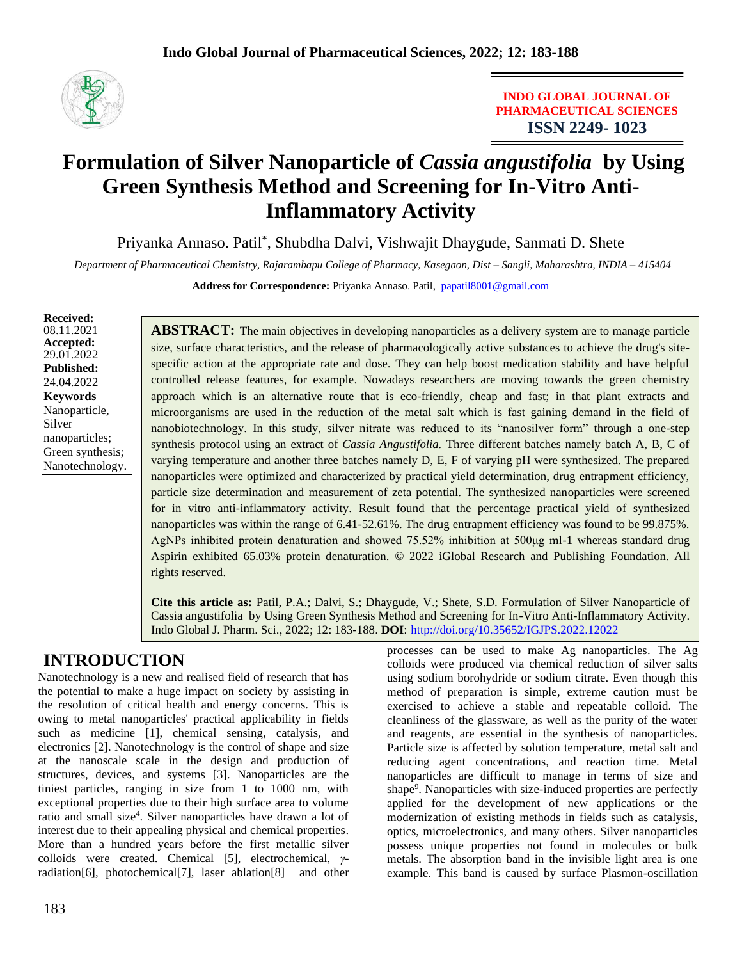

**INDO GLOBAL JOURNAL OF PHARMACEUTICAL SCIENCES ISSN 2249- 1023**

## **Formulation of Silver Nanoparticle of** *Cassia angustifolia* **by Using Green Synthesis Method and Screening for In-Vitro Anti-Inflammatory Activity**

Priyanka Annaso. Patil\* , Shubdha Dalvi, Vishwajit Dhaygude, Sanmati D. Shete

*Department of Pharmaceutical Chemistry, Rajarambapu College of Pharmacy, Kasegaon, Dist – Sangli, Maharashtra, INDIA – 415404*

**Address for Correspondence:** Priyanka Annaso. Patil, [papatil8001@gmail.com](mailto:papatil8001@gmail.com)

**Received:** 08.11.2021 **Accepted:**  29.01.2022 **Published:** 24.04.2022 **Keywords** Nanoparticle, Silver nanoparticles; Green synthesis; Nanotechnology.

**ABSTRACT:** The main objectives in developing nanoparticles as a delivery system are to manage particle size, surface characteristics, and the release of pharmacologically active substances to achieve the drug's sitespecific action at the appropriate rate and dose. They can help boost medication stability and have helpful controlled release features, for example. Nowadays researchers are moving towards the green chemistry approach which is an alternative route that is eco-friendly, cheap and fast; in that plant extracts and microorganisms are used in the reduction of the metal salt which is fast gaining demand in the field of nanobiotechnology. In this study, silver nitrate was reduced to its "nanosilver form" through a one-step synthesis protocol using an extract of *Cassia Angustifolia.* Three different batches namely batch A, B, C of varying temperature and another three batches namely D, E, F of varying pH were synthesized. The prepared nanoparticles were optimized and characterized by practical yield determination, drug entrapment efficiency, particle size determination and measurement of zeta potential. The synthesized nanoparticles were screened for in vitro anti-inflammatory activity. Result found that the percentage practical yield of synthesized nanoparticles was within the range of 6.41-52.61%. The drug entrapment efficiency was found to be 99.875%. AgNPs inhibited protein denaturation and showed 75.52% inhibition at 500μg ml-1 whereas standard drug Aspirin exhibited 65.03% protein denaturation. © 2022 iGlobal Research and Publishing Foundation. All rights reserved.

**Cite this article as:** Patil, P.A.; Dalvi, S.; Dhaygude, V.; Shete, S.D. Formulation of Silver Nanoparticle of Cassia angustifolia by Using Green Synthesis Method and Screening for In-Vitro Anti-Inflammatory Activity. Indo Global J. Pharm. Sci., 2022; 12: 183-188. **DOI**: <http://doi.org/10.35652/IGJPS.2022.12022>

## **INTRODUCTION**

Nanotechnology is a new and realised field of research that has the potential to make a huge impact on society by assisting in the resolution of critical health and energy concerns. This is owing to metal nanoparticles' practical applicability in fields such as medicine [1], chemical sensing, catalysis, and electronics [2]. Nanotechnology is the control of shape and size at the nanoscale scale in the design and production of structures, devices, and systems [3]. Nanoparticles are the tiniest particles, ranging in size from 1 to 1000 nm, with exceptional properties due to their high surface area to volume ratio and small size<sup>4</sup>. Silver nanoparticles have drawn a lot of interest due to their appealing physical and chemical properties. More than a hundred years before the first metallic silver colloids were created. Chemical [5], electrochemical, *γ*radiation[6], photochemical[7], laser ablation[8] and other

processes can be used to make Ag nanoparticles. The Ag colloids were produced via chemical reduction of silver salts using sodium borohydride or sodium citrate. Even though this method of preparation is simple, extreme caution must be exercised to achieve a stable and repeatable colloid. The cleanliness of the glassware, as well as the purity of the water and reagents, are essential in the synthesis of nanoparticles. Particle size is affected by solution temperature, metal salt and reducing agent concentrations, and reaction time. Metal nanoparticles are difficult to manage in terms of size and shape<sup>9</sup>. Nanoparticles with size-induced properties are perfectly applied for the development of new applications or the modernization of existing methods in fields such as catalysis, optics, microelectronics, and many others. Silver nanoparticles possess unique properties not found in molecules or bulk metals. The absorption band in the invisible light area is one example. This band is caused by surface Plasmon-oscillation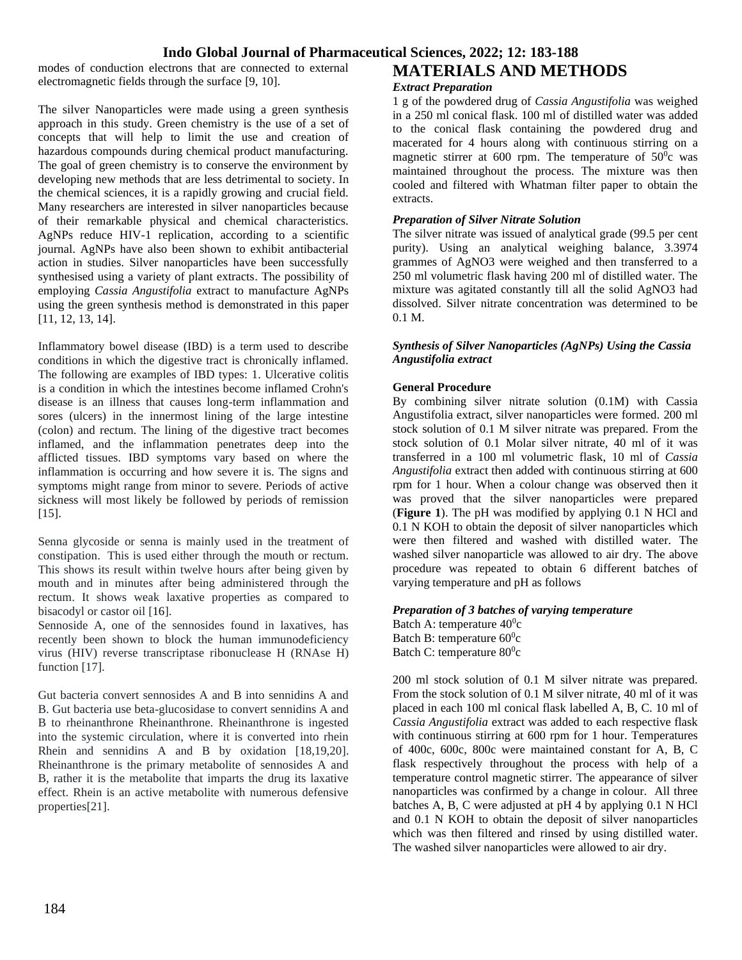modes of conduction electrons that are connected to external electromagnetic fields through the surface [9, 10].

The silver Nanoparticles were made using a green synthesis approach in this study. Green chemistry is the use of a set of concepts that will help to limit the use and creation of hazardous compounds during chemical product manufacturing. The goal of green chemistry is to conserve the environment by developing new methods that are less detrimental to society. In the chemical sciences, it is a rapidly growing and crucial field. Many researchers are interested in silver nanoparticles because of their remarkable physical and chemical characteristics. AgNPs reduce HIV-1 replication, according to a scientific journal. AgNPs have also been shown to exhibit antibacterial action in studies. Silver nanoparticles have been successfully synthesised using a variety of plant extracts. The possibility of employing *Cassia Angustifolia* extract to manufacture AgNPs using the green synthesis method is demonstrated in this paper [11, 12, 13, 14].

Inflammatory bowel disease (IBD) is a term used to describe conditions in which the digestive tract is chronically inflamed. The following are examples of IBD types: 1. Ulcerative colitis is a condition in which the intestines become inflamed Crohn's disease is an illness that causes long-term inflammation and sores (ulcers) in the innermost lining of the large intestine (colon) and rectum. The lining of the digestive tract becomes inflamed, and the inflammation penetrates deep into the afflicted tissues. IBD symptoms vary based on where the inflammation is occurring and how severe it is. The signs and symptoms might range from minor to severe. Periods of active sickness will most likely be followed by periods of remission [15].

Senna glycoside or senna is mainly used in the treatment of constipation. This is used either through the mouth or rectum. This shows its result within twelve hours after being given by mouth and in minutes after being administered through the rectum. It shows weak laxative properties as compared to bisacodyl or castor oil [16].

Sennoside A, one of the sennosides found in laxatives, has recently been shown to block the human immunodeficiency virus (HIV) reverse transcriptase ribonuclease H (RNAse H) function [17].

Gut bacteria convert sennosides A and B into sennidins A and B. Gut bacteria use beta-glucosidase to convert sennidins A and B to rheinanthrone Rheinanthrone. Rheinanthrone is ingested into the systemic circulation, where it is converted into rhein Rhein and sennidins A and B by oxidation [18,19,20]. Rheinanthrone is the primary metabolite of sennosides A and B, rather it is the metabolite that imparts the drug its laxative effect. Rhein is an active metabolite with numerous defensive properties[21].

# **MATERIALS AND METHODS**

#### *Extract Preparation*

1 g of the powdered drug of *Cassia Angustifolia* was weighed in a 250 ml conical flask. 100 ml of distilled water was added to the conical flask containing the powdered drug and macerated for 4 hours along with continuous stirring on a magnetic stirrer at 600 rpm. The temperature of  $50^{\circ}$ c was maintained throughout the process. The mixture was then cooled and filtered with Whatman filter paper to obtain the extracts.

#### *Preparation of Silver Nitrate Solution*

The silver nitrate was issued of analytical grade (99.5 per cent purity). Using an analytical weighing balance, 3.3974 grammes of AgNO3 were weighed and then transferred to a 250 ml volumetric flask having 200 ml of distilled water. The mixture was agitated constantly till all the solid AgNO3 had dissolved. Silver nitrate concentration was determined to be 0.1 M.

#### *Synthesis of Silver Nanoparticles (AgNPs) Using the Cassia Angustifolia extract*

#### **General Procedure**

By combining silver nitrate solution (0.1M) with Cassia Angustifolia extract, silver nanoparticles were formed*.* 200 ml stock solution of 0.1 M silver nitrate was prepared. From the stock solution of 0.1 Molar silver nitrate, 40 ml of it was transferred in a 100 ml volumetric flask, 10 ml of *Cassia Angustifolia* extract then added with continuous stirring at 600 rpm for 1 hour. When a colour change was observed then it was proved that the silver nanoparticles were prepared (**Figure 1**). The pH was modified by applying 0.1 N HCl and 0.1 N KOH to obtain the deposit of silver nanoparticles which were then filtered and washed with distilled water. The washed silver nanoparticle was allowed to air dry. The above procedure was repeated to obtain 6 different batches of varying temperature and pH as follows

#### *Preparation of 3 batches of varying temperature*

Batch A: temperature  $40^0c$ Batch B: temperature  $60^0c$ Batch C: temperature  $80^0$ c

200 ml stock solution of 0.1 M silver nitrate was prepared. From the stock solution of 0.1 M silver nitrate, 40 ml of it was placed in each 100 ml conical flask labelled A, B, C. 10 ml of *Cassia Angustifolia* extract was added to each respective flask with continuous stirring at 600 rpm for 1 hour. Temperatures of 400c, 600c, 800c were maintained constant for A, B, C flask respectively throughout the process with help of a temperature control magnetic stirrer. The appearance of silver nanoparticles was confirmed by a change in colour. All three batches A, B, C were adjusted at pH 4 by applying 0.1 N HCl and 0.1 N KOH to obtain the deposit of silver nanoparticles which was then filtered and rinsed by using distilled water. The washed silver nanoparticles were allowed to air dry.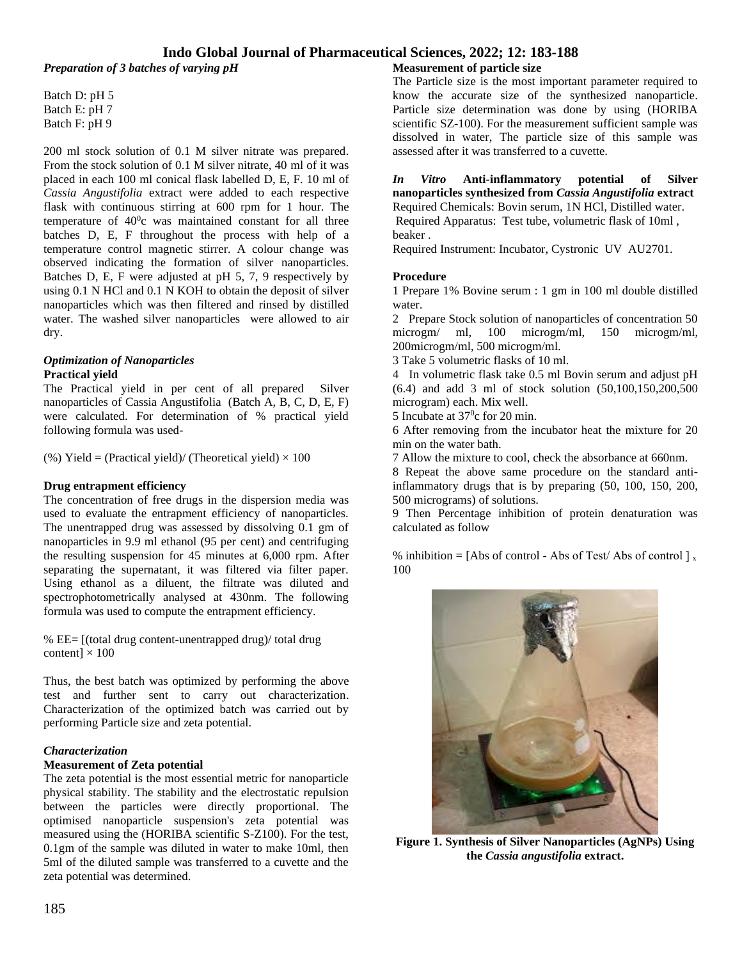*Preparation of 3 batches of varying pH*

Batch D: pH 5 Batch E: pH 7 Batch F: pH 9

200 ml stock solution of 0.1 M silver nitrate was prepared. From the stock solution of 0.1 M silver nitrate, 40 ml of it was placed in each 100 ml conical flask labelled D, E, F. 10 ml of *Cassia Angustifolia* extract were added to each respective flask with continuous stirring at 600 rpm for 1 hour. The temperature of  $40^{\circ}$ c was maintained constant for all three batches D, E, F throughout the process with help of a temperature control magnetic stirrer. A colour change was observed indicating the formation of silver nanoparticles. Batches D, E, F were adjusted at pH 5, 7, 9 respectively by using 0.1 N HCl and 0.1 N KOH to obtain the deposit of silver nanoparticles which was then filtered and rinsed by distilled water. The washed silver nanoparticles were allowed to air dry.

#### *Optimization of Nanoparticles* **Practical yield**

The Practical yield in per cent of all prepared Silver nanoparticles of Cassia Angustifolia (Batch A, B, C, D, E, F) were calculated. For determination of % practical yield following formula was used-

(%) Yield = (Practical yield)/ (Theoretical yield)  $\times$  100

#### **Drug entrapment efficiency**

The concentration of free drugs in the dispersion media was used to evaluate the entrapment efficiency of nanoparticles. The unentrapped drug was assessed by dissolving 0.1 gm of nanoparticles in 9.9 ml ethanol (95 per cent) and centrifuging the resulting suspension for 45 minutes at 6,000 rpm. After separating the supernatant, it was filtered via filter paper. Using ethanol as a diluent, the filtrate was diluted and spectrophotometrically analysed at 430nm. The following formula was used to compute the entrapment efficiency.

% EE= [(total drug content-unentrapped drug)/ total drug content]  $\times$  100

Thus, the best batch was optimized by performing the above test and further sent to carry out characterization. Characterization of the optimized batch was carried out by performing Particle size and zeta potential.

#### *Characterization*

#### **Measurement of Zeta potential**

The zeta potential is the most essential metric for nanoparticle physical stability. The stability and the electrostatic repulsion between the particles were directly proportional. The optimised nanoparticle suspension's zeta potential was measured using the (HORIBA scientific S-Z100). For the test, 0.1gm of the sample was diluted in water to make 10ml, then 5ml of the diluted sample was transferred to a cuvette and the zeta potential was determined.

#### **Measurement of particle size**

The Particle size is the most important parameter required to know the accurate size of the synthesized nanoparticle. Particle size determination was done by using (HORIBA scientific SZ-100). For the measurement sufficient sample was dissolved in water, The particle size of this sample was assessed after it was transferred to a cuvette.

#### *In Vitro* **Anti-inflammatory potential of Silver nanoparticles synthesized from** *Cassia Angustifolia* **extract**  Required Chemicals: Bovin serum, 1N HCl, Distilled water. Required Apparatus: Test tube, volumetric flask of 10ml , beaker .

Required Instrument: Incubator, Cystronic UV AU2701.

#### **Procedure**

1 Prepare 1% Bovine serum : 1 gm in 100 ml double distilled water.

2 Prepare Stock solution of nanoparticles of concentration 50 microgm/ ml, 100 microgm/ml, 150 microgm/ml, 200microgm/ml, 500 microgm/ml.

3 Take 5 volumetric flasks of 10 ml.

4 In volumetric flask take 0.5 ml Bovin serum and adjust pH (6.4) and add 3 ml of stock solution (50,100,150,200,500 microgram) each. Mix well.

5 Incubate at  $37^{\circ}$ c for 20 min.

6 After removing from the incubator heat the mixture for 20 min on the water bath.

7 Allow the mixture to cool, check the absorbance at 660nm.

8 Repeat the above same procedure on the standard antiinflammatory drugs that is by preparing (50, 100, 150, 200, 500 micrograms) of solutions.

9 Then Percentage inhibition of protein denaturation was calculated as follow

% inhibition = [Abs of control - Abs of Test/ Abs of control  $\frac{1}{x}$ ] 100



**Figure 1. Synthesis of Silver Nanoparticles (AgNPs) Using the** *Cassia angustifolia* **extract.**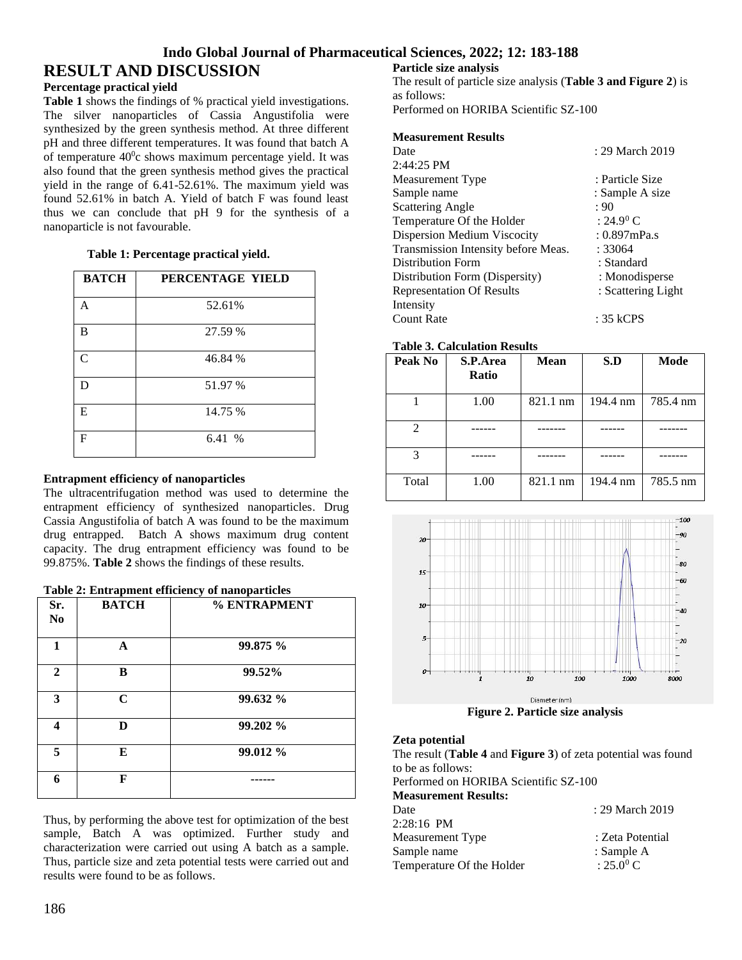## **RESULT AND DISCUSSION**

#### **Percentage practical yield**

**Table 1** shows the findings of % practical yield investigations. The silver nanoparticles of Cassia Angustifolia were synthesized by the green synthesis method. At three different pH and three different temperatures. It was found that batch A of temperature  $40^{\circ}$ c shows maximum percentage yield. It was also found that the green synthesis method gives the practical yield in the range of 6.41-52.61%. The maximum yield was found 52.61% in batch A. Yield of batch F was found least thus we can conclude that pH 9 for the synthesis of a nanoparticle is not favourable.

#### **Table 1: Percentage practical yield.**

| <b>BATCH</b>  | PERCENTAGE YIELD |
|---------------|------------------|
| A             | 52.61%           |
| B             | 27.59 %          |
| $\mathcal{C}$ | 46.84 %          |
| D             | 51.97 %          |
| E             | 14.75 %          |
| $\mathbf F$   | 6.41 %           |

#### **Entrapment efficiency of nanoparticles**

The ultracentrifugation method was used to determine the entrapment efficiency of synthesized nanoparticles. Drug Cassia Angustifolia of batch A was found to be the maximum drug entrapped. Batch A shows maximum drug content capacity. The drug entrapment efficiency was found to be 99.875%. **Table 2** shows the findings of these results.

#### **Table 2: Entrapment efficiency of nanoparticles**

| Sr.<br>N <sub>0</sub> | <b>BATCH</b> | % ENTRAPMENT |
|-----------------------|--------------|--------------|
| 1                     | А            | 99.875 %     |
| $\overline{2}$        | B            | 99.52%       |
| 3                     | C            | 99.632 %     |
| 4                     | D            | 99.202 %     |
| 5                     | Е            | 99.012 %     |
| 6                     | F            |              |

Thus, by performing the above test for optimization of the best sample, Batch A was optimized. Further study and characterization were carried out using A batch as a sample. Thus, particle size and zeta potential tests were carried out and results were found to be as follows.

#### **Particle size analysis**

The result of particle size analysis (**Table 3 and Figure 2**) is as follows:

Performed on HORIBA Scientific SZ-100

#### **Measurement Results**

| Date                                | : 29 March 2019       |
|-------------------------------------|-----------------------|
| 2:44:25 PM                          |                       |
| Measurement Type                    | : Particle Size       |
| Sample name                         | : Sample A size       |
| <b>Scattering Angle</b>             | : 90                  |
| Temperature Of the Holder           | : 24.9 <sup>0</sup> C |
| Dispersion Medium Viscocity         | $: 0.897$ mPa.s       |
| Transmission Intensity before Meas. | : 33064               |
| Distribution Form                   | : Standard            |
| Distribution Form (Dispersity)      | : Monodisperse        |
| <b>Representation Of Results</b>    | : Scattering Light    |
| Intensity                           |                       |
| Count Rate                          | : 35 kCPS             |

#### **Table 3. Calculation Results**

| Peak No | S.P.Area<br><b>Ratio</b> | <b>Mean</b> | S.D      | Mode     |
|---------|--------------------------|-------------|----------|----------|
|         | 1.00                     | 821.1 nm    | 194.4 nm | 785.4 nm |
|         |                          |             |          |          |
|         |                          |             |          |          |
| Total   | 1.00                     | 821.1 nm    | 194.4 nm | 785.5 nm |



**Figure 2. Particle size analysis**

#### **Zeta potential**

The result (**Table 4** and **Figure 3**) of zeta potential was found to be as follows: Performed on HORIBA Scientific SZ-100

**Measurement Results:** Date : 29 March 2019 2:28:16 PM Measurement Type : Zeta Potential Sample name : Sample A Temperature Of the Holder :  $25.0^{\circ}$  C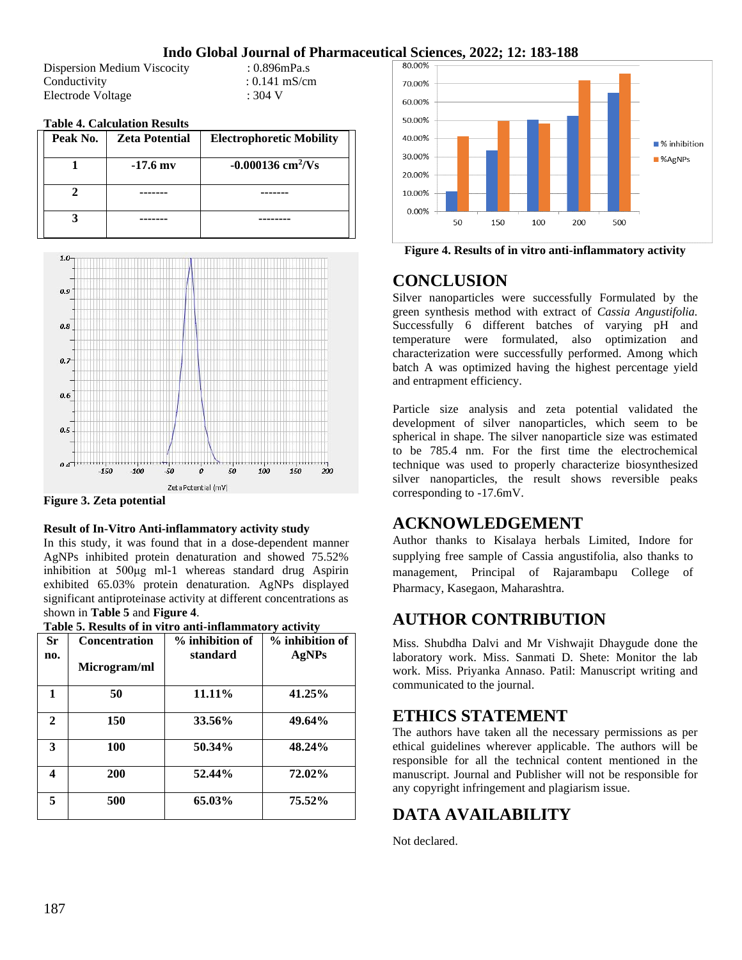Dispersion Medium Viscocity : 0.896mPa.s Conductivity : 0.141 mS/cm Electrode Voltage : 304 V

#### **Table 4. Calculation Results**

| Peak No. | <b>Zeta Potential</b> | <b>Electrophoretic Mobility</b> |
|----------|-----------------------|---------------------------------|
|          | $-17.6$ my            | $-0.000136$ cm <sup>2</sup> /Vs |
|          |                       |                                 |
|          |                       |                                 |



**Figure 3. Zeta potential**

#### **Result of In-Vitro Anti-inflammatory activity study**

In this study, it was found that in a dose-dependent manner AgNPs inhibited protein denaturation and showed 75.52% inhibition at 500μg ml-1 whereas standard drug Aspirin exhibited 65.03% protein denaturation. AgNPs displayed significant antiproteinase activity at different concentrations as shown in **Table 5** and **Figure 4**.

|  |  | Table 5. Results of in vitro anti-inflammatory activity |  |
|--|--|---------------------------------------------------------|--|
|--|--|---------------------------------------------------------|--|

| <b>Sr</b><br>no. | <b>Concentration</b><br>Microgram/ml | % inhibition of<br>standard | % inhibition of<br>AgNPs |
|------------------|--------------------------------------|-----------------------------|--------------------------|
| 1                | 50                                   | 11.11%                      | 41.25%                   |
| $\mathbf{2}$     | 150                                  | 33.56%                      | 49.64%                   |
| 3                | 100                                  | 50.34%                      | 48.24%                   |
| 4                | 200                                  | 52.44%                      | 72.02%                   |
| 5                | 500                                  | 65.03%                      | 75.52%                   |



**Figure 4. Results of in vitro anti-inflammatory activity**

## **CONCLUSION**

Silver nanoparticles were successfully Formulated by the green synthesis method with extract of *Cassia Angustifolia.* Successfully 6 different batches of varying pH and temperature were formulated, also optimization and characterization were successfully performed. Among which batch A was optimized having the highest percentage yield and entrapment efficiency.

Particle size analysis and zeta potential validated the development of silver nanoparticles, which seem to be spherical in shape. The silver nanoparticle size was estimated to be 785.4 nm. For the first time the electrochemical technique was used to properly characterize biosynthesized silver nanoparticles, the result shows reversible peaks corresponding to -17.6mV.

## **ACKNOWLEDGEMENT**

Author thanks to Kisalaya herbals Limited, Indore for supplying free sample of Cassia angustifolia, also thanks to management, Principal of Rajarambapu College of Pharmacy, Kasegaon, Maharashtra.

## **AUTHOR CONTRIBUTION**

Miss. Shubdha Dalvi and Mr Vishwajit Dhaygude done the laboratory work. Miss. Sanmati D. Shete: Monitor the lab work. Miss. Priyanka Annaso. Patil: Manuscript writing and communicated to the journal.

## **ETHICS STATEMENT**

The authors have taken all the necessary permissions as per ethical guidelines wherever applicable. The authors will be responsible for all the technical content mentioned in the manuscript. Journal and Publisher will not be responsible for any copyright infringement and plagiarism issue.

## **DATA AVAILABILITY**

Not declared.